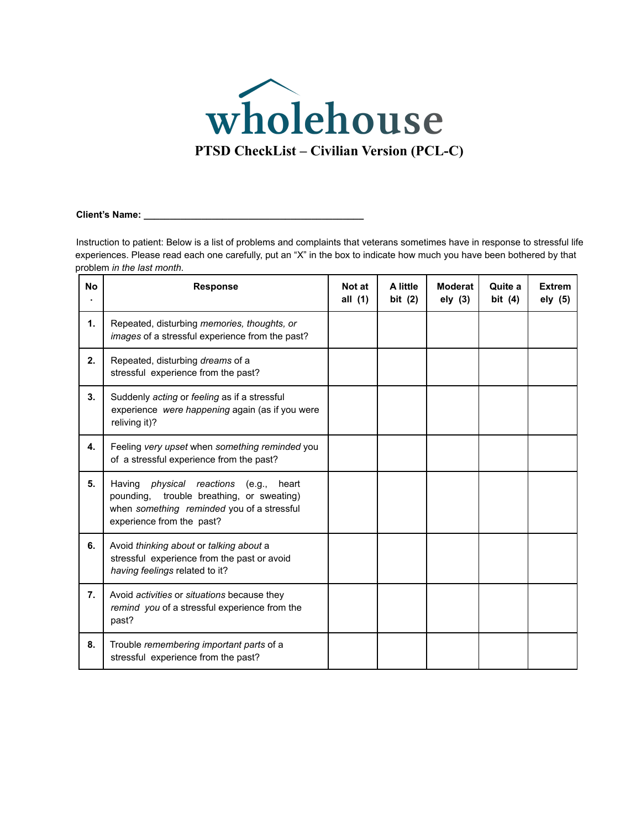

#### **Client's Name: \_\_\_\_\_\_\_\_\_\_\_\_\_\_\_\_\_\_\_\_\_\_\_\_\_\_\_\_\_\_\_\_\_\_\_\_\_\_\_\_\_\_**

Instruction to patient: Below is a list of problems and complaints that veterans sometimes have in response to stressful life experiences. Please read each one carefully, put an "X" in the box to indicate how much you have been bothered by that problem *in the last month*.

| <b>No</b> | <b>Response</b>                                                                                                                                                             | Not at<br>all (1) | A little<br>bit $(2)$ | <b>Moderat</b><br>ely (3) | Quite a<br>bit $(4)$ | <b>Extrem</b><br>ely (5) |
|-----------|-----------------------------------------------------------------------------------------------------------------------------------------------------------------------------|-------------------|-----------------------|---------------------------|----------------------|--------------------------|
| 1.        | Repeated, disturbing memories, thoughts, or<br>images of a stressful experience from the past?                                                                              |                   |                       |                           |                      |                          |
| 2.        | Repeated, disturbing dreams of a<br>stressful experience from the past?                                                                                                     |                   |                       |                           |                      |                          |
| 3.        | Suddenly acting or feeling as if a stressful<br>experience were happening again (as if you were<br>reliving it)?                                                            |                   |                       |                           |                      |                          |
| 4.        | Feeling very upset when something reminded you<br>of a stressful experience from the past?                                                                                  |                   |                       |                           |                      |                          |
| 5.        | Having <i>physical reactions</i> (e.g.,<br>heart<br>trouble breathing, or sweating)<br>pounding.<br>when something reminded you of a stressful<br>experience from the past? |                   |                       |                           |                      |                          |
| 6.        | Avoid thinking about or talking about a<br>stressful experience from the past or avoid<br>having feelings related to it?                                                    |                   |                       |                           |                      |                          |
| 7.        | Avoid activities or situations because they<br>remind you of a stressful experience from the<br>past?                                                                       |                   |                       |                           |                      |                          |
| 8.        | Trouble remembering important parts of a<br>stressful experience from the past?                                                                                             |                   |                       |                           |                      |                          |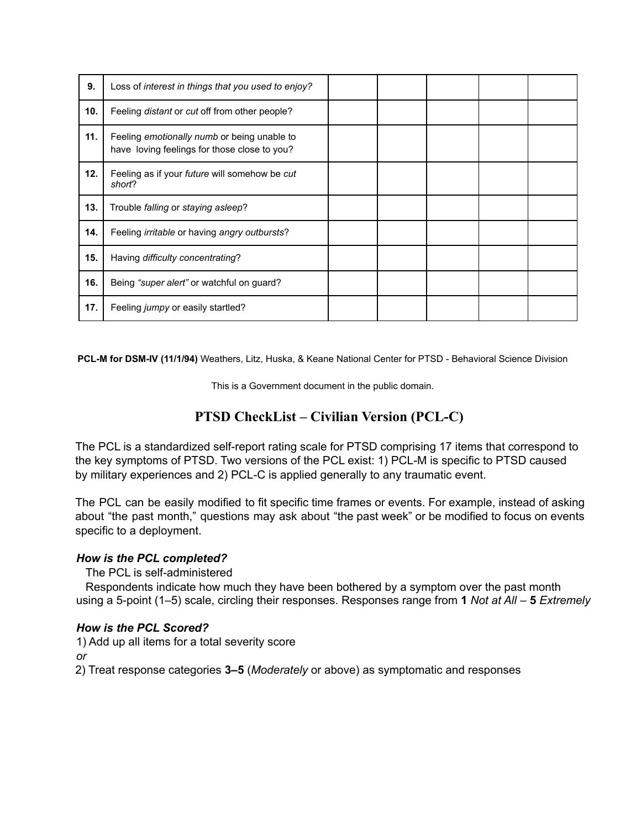| 9.  | Loss of interest in things that you used to enjoy?                                                 |  |  |  |
|-----|----------------------------------------------------------------------------------------------------|--|--|--|
| 10. | Feeling <i>distant</i> or <i>cut</i> off from other people?                                        |  |  |  |
| 11. | Feeling <i>emotionally numb</i> or being unable to<br>have loving feelings for those close to you? |  |  |  |
| 12. | Feeling as if your <i>future</i> will somehow be cut<br>short?                                     |  |  |  |
| 13. | Trouble falling or staying asleep?                                                                 |  |  |  |
| 14. | Feeling <i>irritable</i> or having angry outbursts?                                                |  |  |  |
| 15. | Having difficulty concentrating?                                                                   |  |  |  |
| 16. | Being "super alert" or watchful on guard?                                                          |  |  |  |
| 17. | Feeling <i>jumpy</i> or easily startled?                                                           |  |  |  |

**PCL-M for DSM-IV (11/1/94)** Weathers, Litz, Huska, & Keane National Center for PTSD - Behavioral Science Division

This is a Government document in the public domain.

# **PTSD CheckList – Civilian Version (PCL-C)**

The PCL is a standardized self-report rating scale for PTSD comprising 17 items that correspond to the key symptoms of PTSD. Two versions of the PCL exist: 1) PCL-M is specific to PTSD caused by military experiences and 2) PCL-C is applied generally to any traumatic event.

The PCL can be easily modified to fit specific time frames or events. For example, instead of asking about "the past month," questions may ask about "the past week" or be modified to focus on events specific to a deployment.

# *How is the PCL completed?*

The PCL is self-administered

Respondents indicate how much they have been bothered by a symptom over the past month using a 5-point (1–5) scale, circling their responses. Responses range from **1** *Not at All* – **5** *Extremely*

# *How is the PCL Scored?*

1) Add up all items for a total severity score

*or*

2) Treat response categories **3–5** (*Moderately* or above) as symptomatic and responses